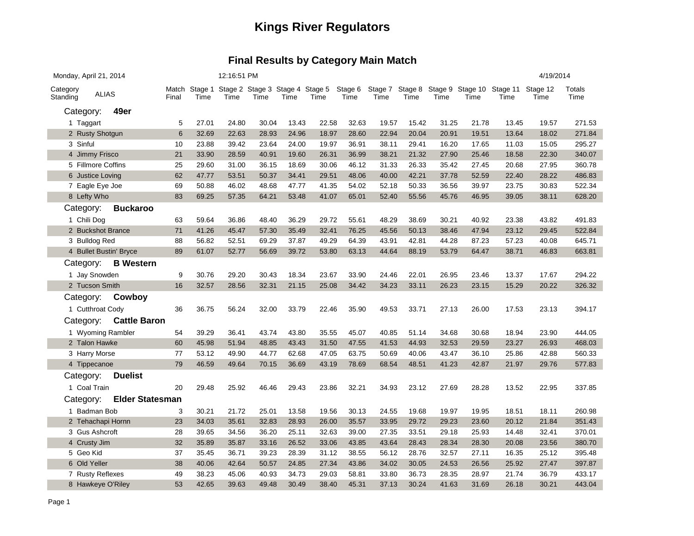| Monday, April 21, 2014 |                        |       |       | 12:16:51 PM                                           |       |       |       |                 |       |       |       |       |                                                            | 4/19/2014 |                |
|------------------------|------------------------|-------|-------|-------------------------------------------------------|-------|-------|-------|-----------------|-------|-------|-------|-------|------------------------------------------------------------|-----------|----------------|
| Category<br>Standing   | <b>ALIAS</b>           | Final | Time  | Match Stage 1 Stage 2 Stage 3 Stage 4 Stage 5<br>Time | Time  | Time  | Time  | Stage 6<br>Time | Time  | Time  | Time  | Time  | Stage 7 Stage 8 Stage 9 Stage 10 Stage 11 Stage 12<br>Time | Time      | Totals<br>Time |
| Category:              | 49er                   |       |       |                                                       |       |       |       |                 |       |       |       |       |                                                            |           |                |
| 1 Taggart              |                        | 5     | 27.01 | 24.80                                                 | 30.04 | 13.43 | 22.58 | 32.63           | 19.57 | 15.42 | 31.25 | 21.78 | 13.45                                                      | 19.57     | 271.53         |
| 2 Rusty Shotgun        |                        | 6     | 32.69 | 22.63                                                 | 28.93 | 24.96 | 18.97 | 28.60           | 22.94 | 20.04 | 20.91 | 19.51 | 13.64                                                      | 18.02     | 271.84         |
| 3 Sinful               |                        | 10    | 23.88 | 39.42                                                 | 23.64 | 24.00 | 19.97 | 36.91           | 38.11 | 29.41 | 16.20 | 17.65 | 11.03                                                      | 15.05     | 295.27         |
| 4 Jimmy Frisco         |                        | 21    | 33.90 | 28.59                                                 | 40.91 | 19.60 | 26.31 | 36.99           | 38.21 | 21.32 | 27.90 | 25.46 | 18.58                                                      | 22.30     | 340.07         |
| 5 Fillmore Coffins     |                        | 25    | 29.60 | 31.00                                                 | 36.15 | 18.69 | 30.06 | 46.12           | 31.33 | 26.33 | 35.42 | 27.45 | 20.68                                                      | 27.95     | 360.78         |
| 6 Justice Loving       |                        | 62    | 47.77 | 53.51                                                 | 50.37 | 34.41 | 29.51 | 48.06           | 40.00 | 42.21 | 37.78 | 52.59 | 22.40                                                      | 28.22     | 486.83         |
| 7 Eagle Eye Joe        |                        | 69    | 50.88 | 46.02                                                 | 48.68 | 47.77 | 41.35 | 54.02           | 52.18 | 50.33 | 36.56 | 39.97 | 23.75                                                      | 30.83     | 522.34         |
| 8 Lefty Who            |                        | 83    | 69.25 | 57.35                                                 | 64.21 | 53.48 | 41.07 | 65.01           | 52.40 | 55.56 | 45.76 | 46.95 | 39.05                                                      | 38.11     | 628.20         |
| Category:              | <b>Buckaroo</b>        |       |       |                                                       |       |       |       |                 |       |       |       |       |                                                            |           |                |
| 1 Chili Dog            |                        | 63    | 59.64 | 36.86                                                 | 48.40 | 36.29 | 29.72 | 55.61           | 48.29 | 38.69 | 30.21 | 40.92 | 23.38                                                      | 43.82     | 491.83         |
| 2 Buckshot Brance      |                        | 71    | 41.26 | 45.47                                                 | 57.30 | 35.49 | 32.41 | 76.25           | 45.56 | 50.13 | 38.46 | 47.94 | 23.12                                                      | 29.45     | 522.84         |
| 3 Bulldog Red          |                        | 88    | 56.82 | 52.51                                                 | 69.29 | 37.87 | 49.29 | 64.39           | 43.91 | 42.81 | 44.28 | 87.23 | 57.23                                                      | 40.08     | 645.71         |
|                        | 4 Bullet Bustin' Bryce | 89    | 61.07 | 52.77                                                 | 56.69 | 39.72 | 53.80 | 63.13           | 44.64 | 88.19 | 53.79 | 64.47 | 38.71                                                      | 46.83     | 663.81         |
| Category:              | <b>B</b> Western       |       |       |                                                       |       |       |       |                 |       |       |       |       |                                                            |           |                |
| 1 Jay Snowden          |                        | 9     | 30.76 | 29.20                                                 | 30.43 | 18.34 | 23.67 | 33.90           | 24.46 | 22.01 | 26.95 | 23.46 | 13.37                                                      | 17.67     | 294.22         |
| 2 Tucson Smith         |                        | 16    | 32.57 | 28.56                                                 | 32.31 | 21.15 | 25.08 | 34.42           | 34.23 | 33.11 | 26.23 | 23.15 | 15.29                                                      | 20.22     | 326.32         |
| Category:              | Cowboy                 |       |       |                                                       |       |       |       |                 |       |       |       |       |                                                            |           |                |
| 1 Cutthroat Cody       |                        | 36    | 36.75 | 56.24                                                 | 32.00 | 33.79 | 22.46 | 35.90           | 49.53 | 33.71 | 27.13 | 26.00 | 17.53                                                      | 23.13     | 394.17         |
| Category:              | <b>Cattle Baron</b>    |       |       |                                                       |       |       |       |                 |       |       |       |       |                                                            |           |                |
|                        | 1 Wyoming Rambler      | 54    | 39.29 | 36.41                                                 | 43.74 | 43.80 | 35.55 | 45.07           | 40.85 | 51.14 | 34.68 | 30.68 | 18.94                                                      | 23.90     | 444.05         |
| 2 Talon Hawke          |                        | 60    | 45.98 | 51.94                                                 | 48.85 | 43.43 | 31.50 | 47.55           | 41.53 | 44.93 | 32.53 | 29.59 | 23.27                                                      | 26.93     | 468.03         |
| 3 Harry Morse          |                        | 77    | 53.12 | 49.90                                                 | 44.77 | 62.68 | 47.05 | 63.75           | 50.69 | 40.06 | 43.47 | 36.10 | 25.86                                                      | 42.88     | 560.33         |
| 4 Tippecanoe           |                        | 79    | 46.59 | 49.64                                                 | 70.15 | 36.69 | 43.19 | 78.69           | 68.54 | 48.51 | 41.23 | 42.87 | 21.97                                                      | 29.76     | 577.83         |
| Category:              | <b>Duelist</b>         |       |       |                                                       |       |       |       |                 |       |       |       |       |                                                            |           |                |
| 1 Coal Train           |                        | 20    | 29.48 | 25.92                                                 | 46.46 | 29.43 | 23.86 | 32.21           | 34.93 | 23.12 | 27.69 | 28.28 | 13.52                                                      | 22.95     | 337.85         |
| Category:              | <b>Elder Statesman</b> |       |       |                                                       |       |       |       |                 |       |       |       |       |                                                            |           |                |
| 1 Badman Bob           |                        | 3     | 30.21 | 21.72                                                 | 25.01 | 13.58 | 19.56 | 30.13           | 24.55 | 19.68 | 19.97 | 19.95 | 18.51                                                      | 18.11     | 260.98         |
| 2 Tehachapi Hornn      |                        | 23    | 34.03 | 35.61                                                 | 32.83 | 28.93 | 26.00 | 35.57           | 33.95 | 29.72 | 29.23 | 23.60 | 20.12                                                      | 21.84     | 351.43         |
| 3 Gus Ashcroft         |                        | 28    | 39.65 | 34.56                                                 | 36.20 | 25.11 | 32.63 | 39.00           | 27.35 | 33.51 | 29.18 | 25.93 | 14.48                                                      | 32.41     | 370.01         |
| 4 Crusty Jim           |                        | 32    | 35.89 | 35.87                                                 | 33.16 | 26.52 | 33.06 | 43.85           | 43.64 | 28.43 | 28.34 | 28.30 | 20.08                                                      | 23.56     | 380.70         |
| 5 Geo Kid              |                        | 37    | 35.45 | 36.71                                                 | 39.23 | 28.39 | 31.12 | 38.55           | 56.12 | 28.76 | 32.57 | 27.11 | 16.35                                                      | 25.12     | 395.48         |
| 6 Old Yeller           |                        | 38    | 40.06 | 42.64                                                 | 50.57 | 24.85 | 27.34 | 43.86           | 34.02 | 30.05 | 24.53 | 26.56 | 25.92                                                      | 27.47     | 397.87         |
| 7 Rusty Reflexes       |                        | 49    | 38.23 | 45.06                                                 | 40.93 | 34.73 | 29.03 | 58.81           | 33.80 | 36.73 | 28.35 | 28.97 | 21.74                                                      | 36.79     | 433.17         |
| 8 Hawkeye O'Riley      |                        | 53    | 42.65 | 39.63                                                 | 49.48 | 30.49 | 38.40 | 45.31           | 37.13 | 30.24 | 41.63 | 31.69 | 26.18                                                      | 30.21     | 443.04         |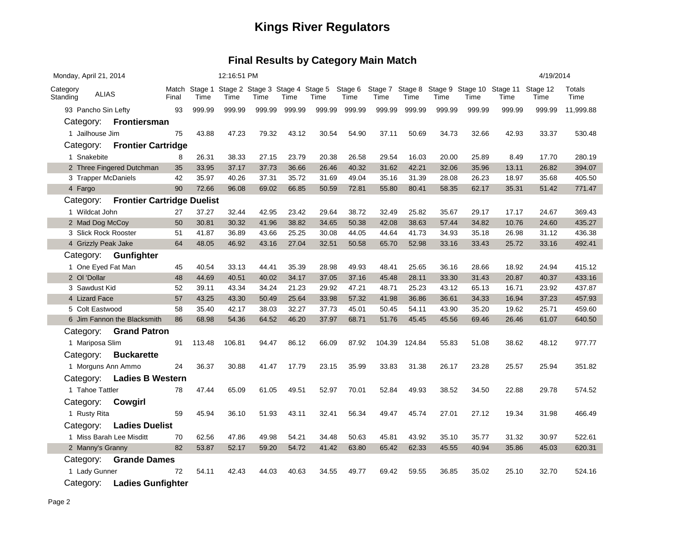| Match Stage 1 Stage 2 Stage 3 Stage 4 Stage 5<br>Stage 6<br>Stage 7 Stage 8<br>Stage 9 Stage 10 Stage 11 Stage 12<br>Category<br><b>ALIAS</b><br>Standing<br>Final<br>Time<br>Time<br>Time<br>Time<br>Time<br>Time<br>Time<br>Time<br>Time<br>Time<br>Time<br>Time | Totals<br>Time |
|--------------------------------------------------------------------------------------------------------------------------------------------------------------------------------------------------------------------------------------------------------------------|----------------|
| 999.99<br>999.99<br>999.99<br>999.99<br>999.99<br>999.99<br>999.99<br>999.99<br>999.99<br>999.99<br>93 Pancho Sin Lefty<br>93<br>999.99<br>999.99                                                                                                                  | 11,999.88      |
| Category: Frontiersman                                                                                                                                                                                                                                             |                |
| 43.88<br>47.23<br>79.32<br>43.12<br>30.54<br>54.90<br>37.11<br>50.69<br>34.73<br>1 Jailhouse Jim<br>75<br>32.66<br>42.93<br>33.37                                                                                                                                  | 530.48         |
| <b>Frontier Cartridge</b><br>Category:                                                                                                                                                                                                                             |                |
| 26.31<br>38.33<br>27.15<br>23.79<br>20.38<br>29.54<br>20.00<br>25.89<br>1 Snakebite<br>26.58<br>16.03<br>8.49<br>17.70<br>8                                                                                                                                        | 280.19         |
| 2 Three Fingered Dutchman<br>35<br>33.95<br>37.17<br>37.73<br>36.66<br>26.46<br>40.32<br>31.62<br>42.21<br>32.06<br>35.96<br>13.11<br>26.82                                                                                                                        | 394.07         |
| 42<br>35.97<br>40.26<br>37.31<br>35.72<br>31.69<br>49.04<br>35.16<br>31.39<br>28.08<br>26.23<br>18.97<br>35.68<br>3 Trapper McDaniels                                                                                                                              | 405.50         |
| 4 Fargo<br>90<br>72.66<br>96.08<br>69.02<br>66.85<br>50.59<br>72.81<br>55.80<br>80.41<br>58.35<br>62.17<br>35.31<br>51.42                                                                                                                                          | 771.47         |
| <b>Frontier Cartridge Duelist</b><br>Category:                                                                                                                                                                                                                     |                |
| 1 Wildcat John<br>37.27<br>32.44<br>42.95<br>23.42<br>29.64<br>38.72<br>32.49<br>25.82<br>35.67<br>29.17<br>24.67<br>27<br>17.17                                                                                                                                   | 369.43         |
| 2 Mad Dog McCoy<br>50<br>30.81<br>30.32<br>41.96<br>38.82<br>34.65<br>50.38<br>42.08<br>38.63<br>57.44<br>34.82<br>10.76<br>24.60                                                                                                                                  | 435.27         |
| 25.25<br>44.64<br>41.73<br>3 Slick Rock Rooster<br>51<br>41.87<br>36.89<br>43.66<br>30.08<br>44.05<br>34.93<br>35.18<br>26.98<br>31.12                                                                                                                             | 436.38         |
| 64<br>48.05<br>46.92<br>27.04<br>52.98<br>25.72<br>33.16<br>4 Grizzly Peak Jake<br>43.16<br>32.51<br>50.58<br>65.70<br>33.16<br>33.43                                                                                                                              | 492.41         |
| Category: Gunfighter                                                                                                                                                                                                                                               |                |
| 40.54<br>33.13<br>44.41<br>35.39<br>28.98<br>49.93<br>25.65<br>36.16<br>18.92<br>24.94<br>1 One Eyed Fat Man<br>45<br>48.41<br>28.66                                                                                                                               | 415.12         |
| 34.17<br>2 OI 'Dollar<br>48<br>44.69<br>40.51<br>40.02<br>37.05<br>37.16<br>45.48<br>28.11<br>33.30<br>31.43<br>20.87<br>40.37                                                                                                                                     | 433.16         |
| 43.34<br>25.23<br>3 Sawdust Kid<br>52<br>39.11<br>34.24<br>21.23<br>29.92<br>47.21<br>48.71<br>43.12<br>65.13<br>16.71<br>23.92                                                                                                                                    | 437.87         |
| 4 Lizard Face<br>57<br>43.25<br>43.30<br>50.49<br>25.64<br>33.98<br>57.32<br>41.98<br>36.86<br>36.61<br>37.23<br>34.33<br>16.94                                                                                                                                    | 457.93         |
| 32.27<br>5 Colt Eastwood<br>58<br>35.40<br>42.17<br>38.03<br>37.73<br>45.01<br>50.45<br>54.11<br>43.90<br>19.62<br>25.71<br>35.20                                                                                                                                  | 459.60         |
| 6 Jim Fannon the Blacksmith<br>86<br>68.98<br>54.36<br>64.52<br>46.20<br>37.97<br>68.71<br>61.07<br>51.76<br>45.45<br>45.56<br>69.46<br>26.46                                                                                                                      | 640.50         |
| <b>Grand Patron</b><br>Category:                                                                                                                                                                                                                                   |                |
| 1 Mariposa Slim<br>113.48<br>86.12<br>66.09<br>48.12<br>91<br>106.81<br>94.47<br>87.92<br>104.39<br>124.84<br>55.83<br>51.08<br>38.62                                                                                                                              | 977.77         |
| <b>Buckarette</b><br>Category:                                                                                                                                                                                                                                     |                |
| 36.37<br>30.88<br>23.15<br>35.99<br>33.83<br>31.38<br>26.17<br>25.94<br>1 Morguns Ann Ammo<br>24<br>41.47<br>17.79<br>23.28<br>25.57                                                                                                                               | 351.82         |
| <b>Ladies B Western</b><br>Category:                                                                                                                                                                                                                               |                |
| 1 Tahoe Tattler<br>47.44<br>61.05<br>52.97<br>78<br>65.09<br>49.51<br>70.01<br>52.84<br>49.93<br>38.52<br>34.50<br>22.88<br>29.78                                                                                                                                  | 574.52         |
| Category:<br><b>Cowgirl</b>                                                                                                                                                                                                                                        |                |
| 59<br>45.94<br>51.93<br>43.11<br>32.41<br>56.34<br>45.74<br>27.01<br>27.12<br>1 Rusty Rita<br>36.10<br>49.47<br>19.34<br>31.98                                                                                                                                     | 466.49         |
| Category:<br><b>Ladies Duelist</b>                                                                                                                                                                                                                                 |                |
| 1 Miss Barah Lee Misditt<br>70<br>62.56<br>47.86<br>49.98<br>54.21<br>34.48<br>50.63<br>45.81<br>43.92<br>35.10<br>35.77<br>31.32<br>30.97                                                                                                                         | 522.61         |
| 82<br>53.87<br>52.17<br>59.20<br>54.72<br>41.42<br>63.80<br>65.42<br>62.33<br>45.55<br>40.94<br>45.03<br>2 Manny's Granny<br>35.86                                                                                                                                 | 620.31         |
| <b>Grande Dames</b><br>Category:                                                                                                                                                                                                                                   |                |
| 1 Lady Gunner<br>72<br>54.11<br>42.43<br>44.03<br>40.63<br>34.55<br>49.77<br>59.55<br>32.70<br>69.42<br>36.85<br>35.02<br>25.10                                                                                                                                    | 524.16         |
| <b>Ladies Gunfighter</b><br>Category:                                                                                                                                                                                                                              |                |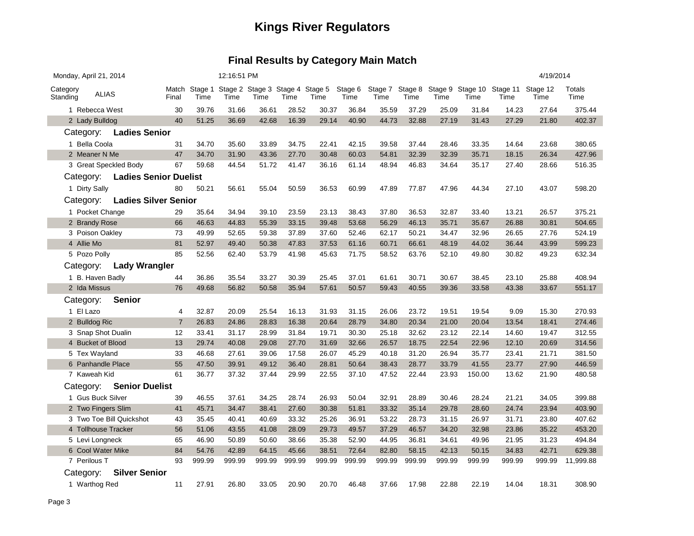| Monday, April 21, 2014                    |                          |                         |                | 12:16:51 PM |        |                                                       |        |        |                 |                         |        |        |        | 4/19/2014                         |                  |                |
|-------------------------------------------|--------------------------|-------------------------|----------------|-------------|--------|-------------------------------------------------------|--------|--------|-----------------|-------------------------|--------|--------|--------|-----------------------------------|------------------|----------------|
| Category<br>Standing                      | <b>ALIAS</b>             |                         | Final          | Time        | Time   | Match Stage 1 Stage 2 Stage 3 Stage 4 Stage 5<br>Time | Time   | Time   | Stage 6<br>Time | Stage 7 Stage 8<br>Time | Time   | Time   | Time   | Stage 9 Stage 10 Stage 11<br>Time | Stage 12<br>Time | Totals<br>Time |
| 1 Rebecca West                            |                          |                         | 30             | 39.76       | 31.66  | 36.61                                                 | 28.52  | 30.37  | 36.84           | 35.59                   | 37.29  | 25.09  | 31.84  | 14.23                             | 27.64            | 375.44         |
| 2 Lady Bulldog                            |                          |                         | 40             | 51.25       | 36.69  | 42.68                                                 | 16.39  | 29.14  | 40.90           | 44.73                   | 32.88  | 27.19  | 31.43  | 27.29                             | 21.80            | 402.37         |
|                                           |                          | Category: Ladies Senior |                |             |        |                                                       |        |        |                 |                         |        |        |        |                                   |                  |                |
| 1 Bella Coola                             |                          |                         | 31             | 34.70       | 35.60  | 33.89                                                 | 34.75  | 22.41  | 42.15           | 39.58                   | 37.44  | 28.46  | 33.35  | 14.64                             | 23.68            | 380.65         |
| 2 Meaner N Me                             |                          |                         | 47             | 34.70       | 31.90  | 43.36                                                 | 27.70  | 30.48  | 60.03           | 54.81                   | 32.39  | 32.39  | 35.71  | 18.15                             | 26.34            | 427.96         |
|                                           |                          | 3 Great Speckled Body   | 67             | 59.68       | 44.54  | 51.72                                                 | 41.47  | 36.16  | 61.14           | 48.94                   | 46.83  | 34.64  | 35.17  | 27.40                             | 28.66            | 516.35         |
| <b>Ladies Senior Duelist</b><br>Category: |                          |                         |                |             |        |                                                       |        |        |                 |                         |        |        |        |                                   |                  |                |
| 1 Dirty Sally                             |                          |                         | 80             | 50.21       | 56.61  | 55.04                                                 | 50.59  | 36.53  | 60.99           | 47.89                   | 77.87  | 47.96  | 44.34  | 27.10                             | 43.07            | 598.20         |
| <b>Ladies Silver Senior</b><br>Category:  |                          |                         |                |             |        |                                                       |        |        |                 |                         |        |        |        |                                   |                  |                |
| 1 Pocket Change                           |                          |                         | 29             | 35.64       | 34.94  | 39.10                                                 | 23.59  | 23.13  | 38.43           | 37.80                   | 36.53  | 32.87  | 33.40  | 13.21                             | 26.57            | 375.21         |
| 2 Brandy Rose                             |                          |                         | 66             | 46.63       | 44.83  | 55.39                                                 | 33.15  | 39.48  | 53.68           | 56.29                   | 46.13  | 35.71  | 35.67  | 26.88                             | 30.81            | 504.65         |
| 3 Poison Oakley                           |                          |                         | 73             | 49.99       | 52.65  | 59.38                                                 | 37.89  | 37.60  | 52.46           | 62.17                   | 50.21  | 34.47  | 32.96  | 26.65                             | 27.76            | 524.19         |
| 4 Allie Mo                                |                          |                         | 81             | 52.97       | 49.40  | 50.38                                                 | 47.83  | 37.53  | 61.16           | 60.71                   | 66.61  | 48.19  | 44.02  | 36.44                             | 43.99            | 599.23         |
| 5 Pozo Polly                              |                          |                         | 85             | 52.56       | 62.40  | 53.79                                                 | 41.98  | 45.63  | 71.75           | 58.52                   | 63.76  | 52.10  | 49.80  | 30.82                             | 49.23            | 632.34         |
| Category:                                 |                          | <b>Lady Wrangler</b>    |                |             |        |                                                       |        |        |                 |                         |        |        |        |                                   |                  |                |
| 1 B. Haven Badly                          |                          |                         | 44             | 36.86       | 35.54  | 33.27                                                 | 30.39  | 25.45  | 37.01           | 61.61                   | 30.71  | 30.67  | 38.45  | 23.10                             | 25.88            | 408.94         |
| 2 Ida Missus                              |                          |                         | 76             | 49.68       | 56.82  | 50.58                                                 | 35.94  | 57.61  | 50.57           | 59.43                   | 40.55  | 39.36  | 33.58  | 43.38                             | 33.67            | 551.17         |
| Category:                                 |                          | <b>Senior</b>           |                |             |        |                                                       |        |        |                 |                         |        |        |        |                                   |                  |                |
| 1 El Lazo                                 |                          |                         | 4              | 32.87       | 20.09  | 25.54                                                 | 16.13  | 31.93  | 31.15           | 26.06                   | 23.72  | 19.51  | 19.54  | 9.09                              | 15.30            | 270.93         |
| 2 Bulldog Ric                             |                          |                         | $\overline{7}$ | 26.83       | 24.86  | 28.83                                                 | 16.38  | 20.64  | 28.79           | 34.80                   | 20.34  | 21.00  | 20.04  | 13.54                             | 18.41            | 274.46         |
|                                           |                          | 3 Snap Shot Dualin      | 12             | 33.41       | 31.17  | 28.99                                                 | 31.84  | 19.71  | 30.30           | 25.18                   | 32.62  | 23.12  | 22.14  | 14.60                             | 19.47            | 312.55         |
| 4 Bucket of Blood                         |                          |                         | 13             | 29.74       | 40.08  | 29.08                                                 | 27.70  | 31.69  | 32.66           | 26.57                   | 18.75  | 22.54  | 22.96  | 12.10                             | 20.69            | 314.56         |
| 5 Tex Wayland                             |                          |                         | 33             | 46.68       | 27.61  | 39.06                                                 | 17.58  | 26.07  | 45.29           | 40.18                   | 31.20  | 26.94  | 35.77  | 23.41                             | 21.71            | 381.50         |
| 6 Panhandle Place                         |                          |                         | 55             | 47.50       | 39.91  | 49.12                                                 | 36.40  | 28.81  | 50.64           | 38.43                   | 28.77  | 33.79  | 41.55  | 23.77                             | 27.90            | 446.59         |
| 7 Kaweah Kid                              |                          |                         | 61             | 36.77       | 37.32  | 37.44                                                 | 29.99  | 22.55  | 37.10           | 47.52                   | 22.44  | 23.93  | 150.00 | 13.62                             | 21.90            | 480.58         |
| Category:                                 |                          | <b>Senior Duelist</b>   |                |             |        |                                                       |        |        |                 |                         |        |        |        |                                   |                  |                |
| 1 Gus Buck Silver                         |                          |                         | 39             | 46.55       | 37.61  | 34.25                                                 | 28.74  | 26.93  | 50.04           | 32.91                   | 28.89  | 30.46  | 28.24  | 21.21                             | 34.05            | 399.88         |
|                                           |                          | 2 Two Fingers Slim      | 41             | 45.71       | 34.47  | 38.41                                                 | 27.60  | 30.38  | 51.81           | 33.32                   | 35.14  | 29.78  | 28.60  | 24.74                             | 23.94            | 403.90         |
|                                           | 3 Two Toe Bill Quickshot |                         | 43             | 35.45       | 40.41  | 40.69                                                 | 33.32  | 25.26  | 36.91           | 53.22                   | 28.73  | 31.15  | 26.97  | 31.71                             | 23.80            | 407.62         |
| 4 Tollhouse Tracker                       |                          | 56                      | 51.06          | 43.55       | 41.08  | 28.09                                                 | 29.73  | 49.57  | 37.29           | 46.57                   | 34.20  | 32.98  | 23.86  | 35.22                             | 453.20           |                |
| 5 Levi Longneck                           |                          | 65                      | 46.90          | 50.89       | 50.60  | 38.66                                                 | 35.38  | 52.90  | 44.95           | 36.81                   | 34.61  | 49.96  | 21.95  | 31.23                             | 494.84           |                |
| 6 Cool Water Mike                         |                          | 84                      | 54.76          | 42.89       | 64.15  | 45.66                                                 | 38.51  | 72.64  | 82.80           | 58.15                   | 42.13  | 50.15  | 34.83  | 42.71                             | 629.38           |                |
| 7 Perilous T                              |                          |                         | 93             | 999.99      | 999.99 | 999.99                                                | 999.99 | 999.99 | 999.99          | 999.99                  | 999.99 | 999.99 | 999.99 | 999.99                            | 999.99           | 11,999.88      |
| Category:                                 |                          | <b>Silver Senior</b>    |                |             |        |                                                       |        |        |                 |                         |        |        |        |                                   |                  |                |
| 1 Warthog Red                             |                          |                         | 11             | 27.91       | 26.80  | 33.05                                                 | 20.90  | 20.70  | 46.48           | 37.66                   | 17.98  | 22.88  | 22.19  | 14.04                             | 18.31            | 308.90         |